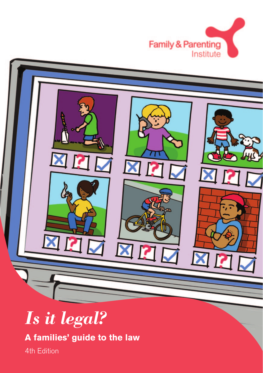



# *Is it legal?*

**A families' guide to the law** 

4th Edition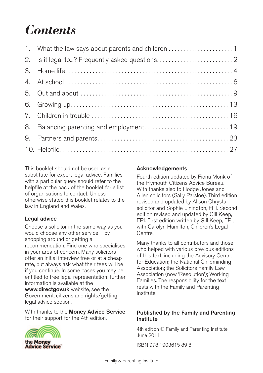# *Contents*

 $\overline{a}$ 

| 1. What the law says about parents and children 1 |
|---------------------------------------------------|
| 2. Is it legal to ? Frequently asked questions 2  |
|                                                   |
|                                                   |
|                                                   |
|                                                   |
|                                                   |
| 8. Balancing parenting and employment 19          |
|                                                   |
|                                                   |

This booklet should not be used as a substitute for expert legal advice. Families with a particular query should refer to the helpfile at the back of the booklet for a list of organisations to contact. Unless otherwise stated this booklet relates to the law in England and Wales.

#### **Legal advice**

Choose a solicitor in the same way as you would choose any other service – by shopping around or getting a recommendation. Find one who specialises in your area of concern. Many solicitors offer an initial interview free or at a cheap rate, but always ask what their fees will be if you continue. In some cases you may be entitled to free legal representation: further information is available at the **www.directgov.uk** website, see the Government, citizens and rights/getting legal advice section.

With thanks to the **Money Advice Service**  for their support for the 4th edition.



the Money **Advice Service** 

#### **Acknowledgements**

Fourth edition updated by Fiona Monk of the Plymouth Citizens Advice Bureau. With thanks also to Hodge Jones and Allen solicitors (Sally Parsloe). Third edition revised and updated by Alison Chrystal, solicitor and Sophie Linington, FPI. Second edition revised and updated by Gill Keep, FPI. First edition written by Gill Keep, FPI, with Carolyn Hamilton, Children's Legal Centre.

Many thanks to all contributors and those who helped with various previous editions of this text, including the Advisory Centre for Education; the National Childminding Association; the Solicitors Family Law Association (now 'Resolution'); Working Families. The responsibility for the text rests with the Family and Parenting Institute.

#### **Published by the Family and Parenting Institute**

4th edition © Family and Parenting Institute June 2011

ISBN 978 1903615 89 8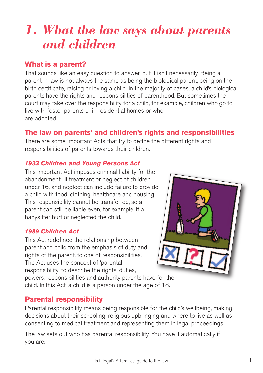# *1. What the law says about parents and children*

## **What is a parent?**

That sounds like an easy question to answer, but it isn't necessarily. Being a parent in law is not always the same as being the biological parent, being on the birth certificate, raising or loving a child. In the majority of cases, a child's biological parents have the rights and responsibilities of parenthood. But sometimes the court may take over the responsibility for a child, for example, children who go to live with foster parents or in residential homes or who are adopted.

## **The law on parents' and children's rights and responsibilities**

There are some important Acts that try to define the different rights and responsibilities of parents towards their children.

#### *1933 Children and Young Persons Act*

This important Act imposes criminal liability for the abandonment, ill treatment or neglect of children under 16, and neglect can include failure to provide a child with food, clothing, healthcare and housing. This responsibility cannot be transferred, so a parent can still be liable even, for example, if a babysitter hurt or neglected the child.

#### *1989 Children Act*

This Act redefined the relationship between parent and child from the emphasis of duty and rights of the parent, to one of responsibilities. The Act uses the concept of 'parental responsibility' to describe the rights, duties,

powers, responsibilities and authority parents have for their child. In this Act, a child is a person under the age of 18.

## **Parental responsibility**

Parental responsibility means being responsible for the child's wellbeing, making decisions about their schooling, religious upbringing and where to live as well as consenting to medical treatment and representing them in legal proceedings.

The law sets out who has parental responsibility. You have it automatically if you are: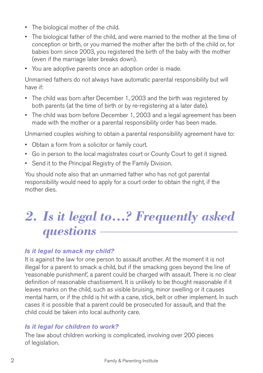- The biological mother of the child.
- The biological father of the child, and were married to the mother at the time of conception or birth, or you married the mother after the birth of the child or, for babies born since 2003, you registered the birth of the baby with the mother (even if the marriage later breaks down).
- You are adoptive parents once an adoption order is made.

Unmarried fathers do not always have automatic parental responsibility but will have if:

- The child was born after December 1, 2003 and the birth was registered by both parents (at the time of birth or by re-registering at a later date).
- The child was born before December 1, 2003 and a legal agreement has been made with the mother or a parental responsibility order has been made.

Unmarried couples wishing to obtain a parental responsibility agreement have to:

- Obtain a form from a solicitor or family court.
- Go in person to the local magistrates court or County Court to get it signed.
- Send it to the Principal Registry of the Family Division.

You should note also that an unmarried father who has not got parental responsibility would need to apply for a court order to obtain the right, if the mother dies.

# *2. Is it legal to…? Frequently asked questions*

#### *Is it legal to smack my child?*

It is against the law for one person to assault another. At the moment it is not illegal for a parent to smack a child, but if the smacking goes beyond the line of 'reasonable punishment', a parent could be charged with assault. There is no clear definition of reasonable chastisement. It is unlikely to be thought reasonable if it leaves marks on the child, such as visible bruising, minor swelling or it causes mental harm, or if the child is hit with a cane, stick, belt or other implement. In such cases it is possible that a parent could be prosecuted for assault, and that the child could be taken into local authority care.

#### *Is it legal for children to work?*

The law about children working is complicated, involving over 200 pieces of legislation.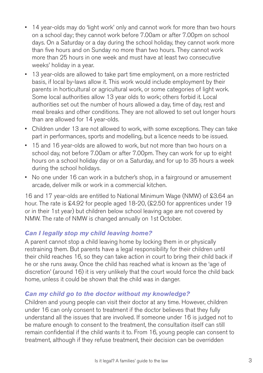- • 14 year-olds may do 'light work' only and cannot work for more than two hours on a school day; they cannot work before 7.00am or after 7.00pm on school days. On a Saturday or a day during the school holiday, they cannot work more than five hours and on Sunday no more than two hours. They cannot work more than 25 hours in one week and must have at least two consecutive weeks' holiday in a year.
- • 13 year-olds are allowed to take part time employment, on a more restricted basis, if local by-laws allow it. This work would include employment by their parents in horticultural or agricultural work, or some categories of light work. Some local authorities allow 13 year olds to work; others forbid it. Local authorities set out the number of hours allowed a day, time of day, rest and meal breaks and other conditions. They are not allowed to set out longer hours than are allowed for 14 year-olds.
- • Children under 13 are not allowed to work, with some exceptions. They can take part in performances, sports and modelling, but a licence needs to be issued.
- • 15 and 16 year-olds are allowed to work, but not more than two hours on a school day, not before 7.00am or after 7.00pm. They can work for up to eight hours on a school holiday day or on a Saturday, and for up to 35 hours a week during the school holidays.
- No one under 16 can work in a butcher's shop, in a fairground or amusement arcade, deliver milk or work in a commercial kitchen.

16 and 17 year-olds are entitled to National Minimum Wage (NMW) of £3.64 an hour. The rate is £4.92 for people aged 18-20, (£2.50 for apprentices under 19 or in their 1st year) but children below school leaving age are not covered by NMW. The rate of NMW is changed annually on 1st October.

#### *Can I legally stop my child leaving home?*

A parent cannot stop a child leaving home by locking them in or physically restraining them. But parents have a legal responsibility for their children until their child reaches 16, so they can take action in court to bring their child back if he or she runs away. Once the child has reached what is known as the 'age of discretion' (around 16) it is very unlikely that the court would force the child back home, unless it could be shown that the child was in danger.

#### *Can my child go to the doctor without my knowledge?*

Children and young people can visit their doctor at any time. However, children under 16 can only consent to treatment if the doctor believes that they fully understand all the issues that are involved. If someone under 16 is judged not to be mature enough to consent to the treatment, the consultation itself can still remain confidential if the child wants it to. From 16, young people can consent to treatment, although if they refuse treatment, their decision can be overridden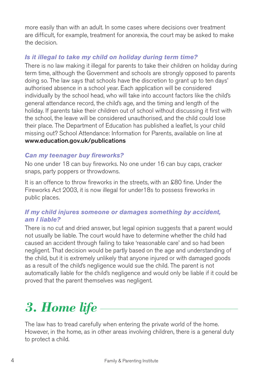more easily than with an adult. In some cases where decisions over treatment are difficult, for example, treatment for anorexia, the court may be asked to make the decision.

## *Is it illegal to take my child on holiday during term time?*

There is no law making it illegal for parents to take their children on holiday during term time, although the Government and schools are strongly opposed to parents doing so. The law says that schools have the discretion to grant up to ten days' authorised absence in a school year. Each application will be considered individually by the school head, who will take into account factors like the child's general attendance record, the child's age, and the timing and length of the holiday. If parents take their children out of school without discussing it first with the school, the leave will be considered unauthorised, and the child could lose their place. The Department of Education has published a leaflet, Is your child missing out? School Attendance: Information for Parents, available on line at **www.education.gov.uk/publications** 

#### *Can my teenager buy fireworks?*

No one under 18 can buy fireworks. No one under 16 can buy caps, cracker snaps, party poppers or throwdowns.

It is an offence to throw fireworks in the streets, with an £80 fine. Under the Fireworks Act 2003, it is now illegal for under18s to possess fireworks in public places.

### *If my child injures someone or damages something by accident, am I liable?*

There is no cut and dried answer, but legal opinion suggests that a parent would not usually be liable. The court would have to determine whether the child had caused an accident through failing to take 'reasonable care' and so had been negligent. That decision would be partly based on the age and understanding of the child, but it is extremely unlikely that anyone injured or with damaged goods as a result of the child's negligence would sue the child. The parent is not automatically liable for the child's negligence and would only be liable if it could be proved that the parent themselves was negligent.

# *3. Home life*

The law has to tread carefully when entering the private world of the home. However, in the home, as in other areas involving children, there is a general duty to protect a child.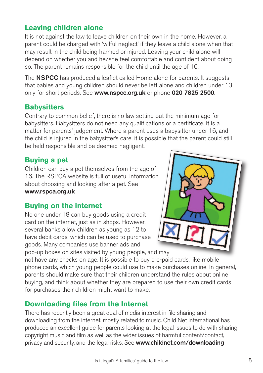## **Leaving children alone**

It is not against the law to leave children on their own in the home. However, a parent could be charged with 'wilful neglect' if they leave a child alone when that may result in the child being harmed or injured. Leaving your child alone will depend on whether you and he/she feel comfortable and confident about doing so. The parent remains responsible for the child until the age of 16.

The **NSPCC** has produced a leaflet called Home alone for parents. It suggests that babies and young children should never be left alone and children under 13 only for short periods. See **www.nspcc.org.uk** or phone **020 7825 2500**.

## **Babysitters**

Contrary to common belief, there is no law setting out the minimum age for babysitters. Babysitters do not need any qualifications or a certificate. It is a matter for parents' judgement. Where a parent uses a babysitter under 16, and the child is injured in the babysitter's care, it is possible that the parent could still be held responsible and be deemed negligent.

## **Buying a pet**

Children can buy a pet themselves from the age of 16. The RSPCA website is full of useful information about choosing and looking after a pet. See **www.rspca.org.uk** 

## **Buying on the internet**

No one under 18 can buy goods using a credit card on the internet, just as in shops. However, several banks allow children as young as 12 to have debit cards, which can be used to purchase goods. Many companies use banner ads and

pop-up boxes on sites visited by young people, and may

not have any checks on age. It is possible to buy pre-paid cards, like mobile phone cards, which young people could use to make purchases online. In general, parents should make sure that their children understand the rules about online buying, and think about whether they are prepared to use their own credit cards for purchases their children might want to make.

## **Downloading files from the Internet**

There has recently been a great deal of media interest in file sharing and downloading from the internet, mostly related to music. Child Net International has produced an excellent guide for parents looking at the legal issues to do with sharing copyright music and film as well as the wider issues of harmful content/contact, privacy and security, and the legal risks. See **www.childnet.com/downloading** 

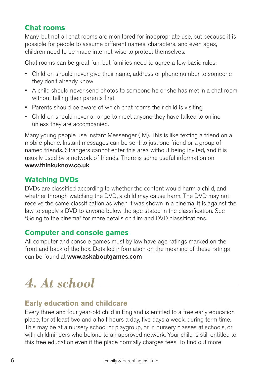# **Chat rooms**

Many, but not all chat rooms are monitored for inappropriate use, but because it is possible for people to assume different names, characters, and even ages, children need to be made internet-wise to protect themselves.

Chat rooms can be great fun, but families need to agree a few basic rules:

- Children should never give their name, address or phone number to someone they don't already know
- • A child should never send photos to someone he or she has met in a chat room without telling their parents first
- Parents should be aware of which chat rooms their child is visiting
- Children should never arrange to meet anyone they have talked to online unless they are accompanied.

Many young people use Instant Messenger (IM). This is like texting a friend on a mobile phone. Instant messages can be sent to just one friend or a group of named friends. Strangers cannot enter this area without being invited, and it is usually used by a network of friends. There is some useful information on **www.thinkuknow.co.uk** 

## **Watching DVDs**

DVDs are classified according to whether the content would harm a child, and whether through watching the DVD, a child may cause harm. The DVD may not receive the same classification as when it was shown in a cinema. It is against the law to supply a DVD to anyone below the age stated in the classification. See "Going to the cinema" for more details on film and DVD classifications.

## **Computer and console games**

All computer and console games must by law have age ratings marked on the front and back of the box. Detailed information on the meaning of these ratings can be found at **www.askaboutgames.com** 

# *4. At school*

## **Early education and childcare**

Every three and four year-old child in England is entitled to a free early education place, for at least two and a half hours a day, five days a week, during term time. This may be at a nursery school or playgroup, or in nursery classes at schools, or with childminders who belong to an approved network. Your child is still entitled to this free education even if the place normally charges fees. To find out more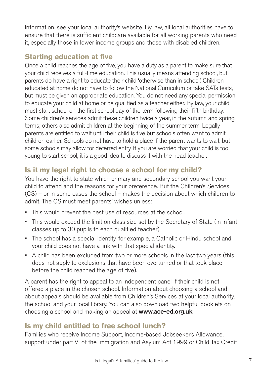information, see your local authority's website. By law, all local authorities have to ensure that there is sufficient childcare available for all working parents who need it, especially those in lower income groups and those with disabled children.

# **Starting education at five**

Once a child reaches the age of five, you have a duty as a parent to make sure that your child receives a full-time education. This usually means attending school, but parents do have a right to educate their child 'otherwise than in school'. Children educated at home do not have to follow the National Curriculum or take SATs tests, but must be given an appropriate education. You do not need any special permission to educate your child at home or be qualified as a teacher either. By law, your child must start school on the first school day of the term following their fifth birthday. Some children's services admit these children twice a year, in the autumn and spring terms; others also admit children at the beginning of the summer term. Legally parents are entitled to wait until their child is five but schools often want to admit children earlier. Schools do not have to hold a place if the parent wants to wait, but some schools may allow for deferred entry. If you are worried that your child is too young to start school, it is a good idea to discuss it with the head teacher.

# **Is it my legal right to choose a school for my child?**

You have the right to state which primary and secondary school you want your child to attend and the reasons for your preference. But the Children's Services (CS) – or in some cases the school – makes the decision about which children to admit. The CS must meet parents' wishes unless:

- This would prevent the best use of resources at the school.
- This would exceed the limit on class size set by the Secretary of State (in infant classes up to 30 pupils to each qualified teacher).
- The school has a special identity, for example, a Catholic or Hindu school and your child does not have a link with that special identity.
- A child has been excluded from two or more schools in the last two years (this does not apply to exclusions that have been overturned or that took place before the child reached the age of five).

A parent has the right to appeal to an independent panel if their child is not offered a place in the chosen school. Information about choosing a school and about appeals should be available from Children's Services at your local authority, the school and your local library. You can also download two helpful booklets on choosing a school and making an appeal at **www.ace-ed.org.uk** 

# **Is my child entitled to free school lunch?**

Families who receive Income Support, Income-based Jobseeker's Allowance, support under part VI of the Immigration and Asylum Act 1999 or Child Tax Credit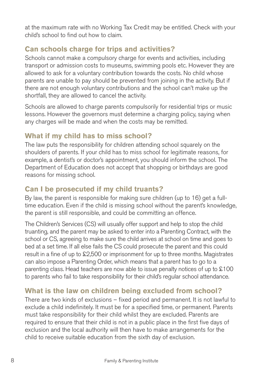at the maximum rate with no Working Tax Credit may be entitled. Check with your child's school to find out how to claim.

# **Can schools charge for trips and activities?**

Schools cannot make a compulsory charge for events and activities, including transport or admission costs to museums, swimming pools etc. However they are allowed to ask for a voluntary contribution towards the costs. No child whose parents are unable to pay should be prevented from joining in the activity. But if there are not enough voluntary contributions and the school can't make up the shortfall, they are allowed to cancel the activity.

Schools are allowed to charge parents compulsorily for residential trips or music lessons. However the governors must determine a charging policy, saying when any charges will be made and when the costs may be remitted.

# **What if my child has to miss school?**

The law puts the responsibility for children attending school squarely on the shoulders of parents. If your child has to miss school for legitimate reasons, for example, a dentist's or doctor's appointment, you should inform the school. The Department of Education does not accept that shopping or birthdays are good reasons for missing school.

# **Can I be prosecuted if my child truants?**

By law, the parent is responsible for making sure children (up to 16) get a fulltime education. Even if the child is missing school without the parent's knowledge, the parent is still responsible, and could be committing an offence.

The Children's Services (CS) will usually offer support and help to stop the child truanting, and the parent may be asked to enter into a Parenting Contract, with the school or CS, agreeing to make sure the child arrives at school on time and goes to bed at a set time. If all else fails the CS could prosecute the parent and this could result in a fine of up to £2,500 or imprisonment for up to three months. Magistrates can also impose a Parenting Order, which means that a parent has to go to a parenting class. Head teachers are now able to issue penalty notices of up to £100 to parents who fail to take responsibility for their child's regular school attendance.

# **What is the law on children being excluded from school?**

There are two kinds of exclusions – fixed period and permanent. It is not lawful to exclude a child indefinitely. It must be for a specified time, or permanent. Parents must take responsibility for their child whilst they are excluded. Parents are required to ensure that their child is not in a public place in the first five days of exclusion and the local authority will then have to make arrangements for the child to receive suitable education from the sixth day of exclusion.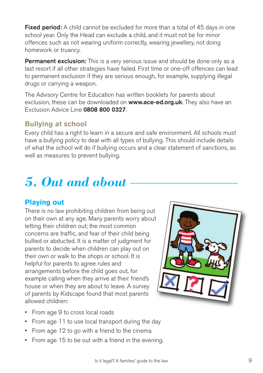**Fixed period:** A child cannot be excluded for more than a total of 45 days in one school year. Only the Head can exclude a child, and it must not be for minor offences such as not wearing uniform correctly, wearing jewellery, not doing homework or truancy.

**Permanent exclusion:** This is a very serious issue and should be done only as a last resort if all other strategies have failed. First time or one-off offences can lead to permanent exclusion if they are serious enough, for example, supplying illegal drugs or carrying a weapon.

The Advisory Centre for Education has written booklets for parents about exclusion, these can be downloaded on **www.ace-ed.org.uk**. They also have an Exclusion Advice Line **0808 800 0327**.

# **Bullying at school**

Every child has a right to learn in a secure and safe environment. All schools must have a bullying policy to deal with all types of bullying. This should include details of what the school will do if bullying occurs and a clear statement of sanctions, as well as measures to prevent bullying.

# *5. Out and about*

# **Playing out**

There is no law prohibiting children from being out on their own at any age. Many parents worry about letting their children out; the most common concerns are traffic, and fear of their child being bullied or abducted. It is a matter of judgment for parents to decide when children can play out on their own or walk to the shops or school. It is helpful for parents to agree rules and arrangements before the child goes out, for example calling when they arrive at their friend's house or when they are about to leave. A survey of parents by Kidscape found that most parents allowed children:

- From age 9 to cross local roads
- From age 11 to use local transport during the day
- From age 12 to go with a friend to the cinema
- From age 15 to be out with a friend in the evening.

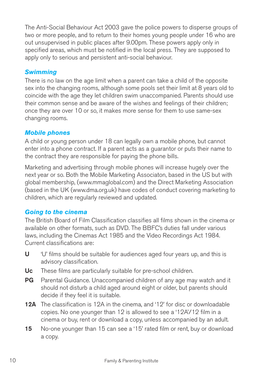The Anti-Social Behaviour Act 2003 gave the police powers to disperse groups of two or more people, and to return to their homes young people under 16 who are out unsupervised in public places after 9.00pm. These powers apply only in specified areas, which must be notified in the local press. They are supposed to apply only to serious and persistent anti-social behaviour.

#### *Swimming*

There is no law on the age limit when a parent can take a child of the opposite sex into the changing rooms, although some pools set their limit at 8 years old to coincide with the age they let children swim unaccompanied. Parents should use their common sense and be aware of the wishes and feelings of their children; once they are over 10 or so, it makes more sense for them to use same-sex changing rooms.

#### *Mobile phones*

A child or young person under 18 can legally own a mobile phone, but cannot enter into a phone contract. If a parent acts as a guarantor or puts their name to the contract they are responsible for paying the phone bills.

Marketing and advertising through mobile phones will increase hugely over the next year or so. Both the Mobile Marketing Associaton, based in the US but with global membership, (www.mmaglobal.com) and the Direct Marketing Association (based in the UK (www.dma.org.uk) have codes of conduct covering marketing to children, which are regularly reviewed and updated.

## *Going to the cinema*

The British Board of Film Classification classifies all films shown in the cinema or available on other formats, such as DVD. The BBFC's duties fall under various laws, including the Cinemas Act 1985 and the Video Recordings Act 1984. Current classifications are:

- **U** <sup>'</sup>U' films should be suitable for audiences aged four years up, and this is advisory classification.
- Uc These films are particularly suitable for pre-school children.
- **PG** Parental Guidance. Unaccompanied children of any age may watch and it should not disturb a child aged around eight or older, but parents should decide if they feel it is suitable.
- **12A** The classification is 12A in the cinema, and '12' for disc or downloadable copies. No one younger than 12 is allowed to see a '12A'/12 film in a cinema or buy, rent or download a copy, unless accompanied by an adult.
- **15** No-one younger than 15 can see a '15' rated film or rent, buy or download a copy.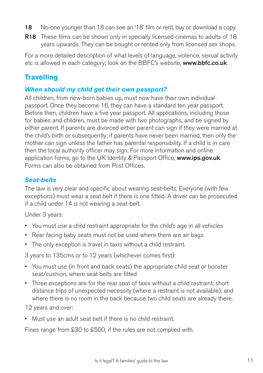- **18** No-one younger than 18 can see an '18' film or rent, buy or download a copy.
- **R18** These films can be shown only in specially licensed cinemas to adults of 18 years upwards. They can be bought or rented only from licensed sex shops.

For a more detailed description of what levels of language, violence, sexual activity etc is allowed in each category; look on the BBFC's website, **www.bbfc.co.uk** 

# **Travelling**

#### *When should my child get their own passport?*

All children, from new-born babies up, must now have their own individual passport. Once they become 16, they can have a standard ten year passport. Before then, children have a five year passport. All applications, including those for babies and children, must be made with two photographs, and be signed by either parent. If parents are divorced either parent can sign if they were married at the child's birth or subsequently; if parents have never been married, then only the mother can sign unless the father has parental responsibility. If a child is in care then the local authority officer may sign. For more information and online application forms, go to the UK Identity & Passport Office, **www.ips.gov.uk**. Forms can also be obtained from Post Offices.

#### *Seat-belts*

The law is very clear and specific about wearing seat-belts. Everyone (with few exceptions) must wear a seat belt if there is one fitted. A driver can be prosecuted if a child under 14 is not wearing a seat-belt.

Under 3 years:

- You must use a child restraint appropriate for the child's age in all vehicles
- Rear facing baby seats must not be used where there are air bags
- The only exception is travel in taxis without a child restraint.

3 years to 135cms or to 12 years (whichever comes first):

- You must use (in front and back seats) the appropriate child seat or booster seat/cushion, where seat belts are fitted
- • Three exceptions are for the rear seat of taxis without a child restraint; short distance trips of unexpected necessity (where a restraint is not available); and where there is no room in the back because two child seats are already there.

12 years and over:

• Must use an adult seat belt if there is no child restraint.

Fines range from £30 to £500, if the rules are not complied with.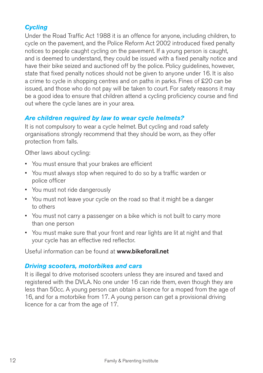## *Cycling*

Under the Road Traffic Act 1988 it is an offence for anyone, including children, to cycle on the pavement, and the Police Reform Act 2002 introduced fixed penalty notices to people caught cycling on the pavement. If a young person is caught, and is deemed to understand, they could be issued with a fixed penalty notice and have their bike seized and auctioned off by the police. Policy guidelines, however, state that fixed penalty notices should not be given to anyone under 16. It is also a crime to cycle in shopping centres and on paths in parks. Fines of £20 can be issued, and those who do not pay will be taken to court. For safety reasons it may be a good idea to ensure that children attend a cycling proficiency course and find out where the cycle lanes are in your area.

#### *Are children required by law to wear cycle helmets?*

It is not compulsory to wear a cycle helmet. But cycling and road safety organisations strongly recommend that they should be worn, as they offer protection from falls.

Other laws about cycling:

- • You must ensure that your brakes are efficient
- You must always stop when required to do so by a traffic warden or police officer
- You must not ride dangerously
- You must not leave your cycle on the road so that it might be a danger to others
- You must not carry a passenger on a bike which is not built to carry more than one person
- You must make sure that your front and rear lights are lit at night and that your cycle has an effective red reflector.

Useful information can be found at **www.bikeforall.net** 

#### *Driving scooters, motorbikes and cars*

It is illegal to drive motorised scooters unless they are insured and taxed and registered with the DVLA. No one under 16 can ride them, even though they are less than 50cc. A young person can obtain a licence for a moped from the age of 16, and for a motorbike from 17. A young person can get a provisional driving licence for a car from the age of 17.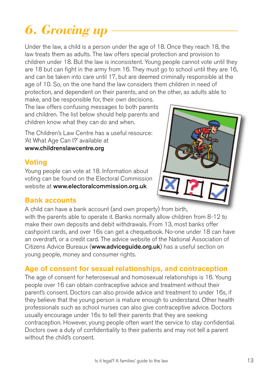# *6. Growing up*

Under the law, a child is a person under the age of 18. Once they reach 18, the law treats them as adults. The law offers special protection and provision to children under 18. But the law is inconsistent. Young people cannot vote until they are 18 but can fight in the army from 16. They must go to school until they are 16, and can be taken into care until 17, but are deemed criminally responsible at the age of 10. So, on the one hand the law considers them children in need of protection, and dependent on their parents, and on the other, as adults able to

 $\overline{a}$ 

make, and be responsible for, their own decisions. The law offers confusing messages to both parents and children. The list below should help parents and children know what they can do and when.

The Children's Law Centre has a useful resource: 'At What Age Can I?' available at **www.childrenslawcentre.org** 

## **Voting**

Young people can vote at 18. Information about voting can be found on the Electoral Commission website at **www.electoralcommission.org.uk** 



## **Bank accounts**

A child can have a bank account (and own property) from birth, with the parents able to operate it. Banks normally allow children from 8-12 to make their own deposits and debit withdrawals. From 13, most banks offer cashpoint cards, and over 16s can get a chequebook. No-one under 18 can have an overdraft, or a credit card. The advice website of the National Association of Citizens Advice Bureaux (**www.adviceguide.org.uk**) has a useful section on young people, money and consumer rights.

# **Age of consent for sexual relationships, and contraception**

The age of consent for heterosexual and homosexual relationships is 16. Young people over 16 can obtain contraceptive advice and treatment without their parent's consent. Doctors can also provide advice and treatment to under 16s, if they believe that the young person is mature enough to understand. Other health professionals such as school nurses can also give contraceptive advice. Doctors usually encourage under 16s to tell their parents that they are seeking contraception. However, young people often want the service to stay confidential. Doctors owe a duty of confidentiality to their patients and may not tell a parent without the child's consent.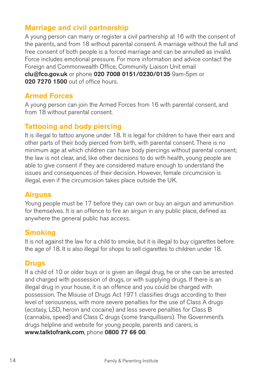## **Marriage and civil partnership**

A young person can marry or register a civil partnership at 16 with the consent of the parents, and from 18 without parental consent. A marriage without the full and free consent of both people is a forced marriage and can be annulled as invalid. Force includes emotional pressure. For more information and advice contact the Foreign and Commonwealth Office, Community Liaison Unit email **clu@fco.gov.uk** or phone **020 7008 0151/0230/0135** 9am-5pm or **020 7270 1500** out of office hours.

### **Armed Forces**

A young person can join the Armed Forces from 16 with parental consent, and from 18 without parental consent.

## **Tattooing and body piercing**

It is illegal to tattoo anyone under 18. It is legal for children to have their ears and other parts of their body pierced from birth, with parental consent. There is no minimum age at which children can have body piercings without parental consent; the law is not clear, and, like other decisions to do with health, young people are able to give consent if they are considered mature enough to understand the issues and consequences of their decision. However, female circumcision is illegal, even if the circumcision takes place outside the UK.

## **Airguns**

Young people must be 17 before they can own or buy an airgun and ammunition for themselves. It is an offence to fire an airgun in any public place, defined as anywhere the general public has access.

## **Smoking**

It is not against the law for a child to smoke, but it is illegal to buy cigarettes before the age of 18. It is also illegal for shops to sell cigarettes to children under 18.

#### **Drugs**

If a child of 10 or older buys or is given an illegal drug, he or she can be arrested and charged with possession of drugs, or with supplying drugs. If there is an illegal drug in your house, it is an offence and you could be charged with possession. The Misuse of Drugs Act 1971 classifies drugs according to their level of seriousness, with more severe penalties for the use of Class A drugs (ecstasy, LSD, heroin and cocaine) and less severe penalties for Class B (cannabis, speed) and Class C drugs (some tranquillisers). The Government's drugs helpline and website for young people, parents and carers, is **www.talktofrank.com**, phone **0800 77 66 00**.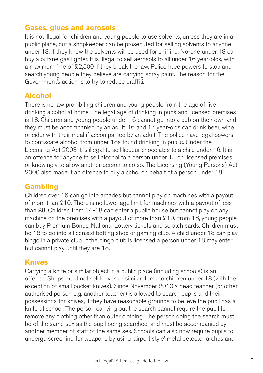## **Gases, glues and aerosols**

It is not illegal for children and young people to use solvents, unless they are in a public place, but a shopkeeper can be prosecuted for selling solvents to anyone under 18, if they know the solvents will be used for sniffing. No-one under 18 can buy a butane gas lighter. It is illegal to sell aerosols to all under 16 year-olds, with a maximum fine of £2,500 if they break the law. Police have powers to stop and search young people they believe are carrying spray paint. The reason for the Government's action is to try to reduce graffiti.

## **Alcohol**

There is no law prohibiting children and young people from the age of five drinking alcohol at home. The legal age of drinking in pubs and licensed premises is 18. Children and young people under 16 cannot go into a pub on their own and they must be accompanied by an adult. 16 and 17 year-olds can drink beer, wine or cider with their meal if accompanied by an adult. The police have legal powers to confiscate alcohol from under 18s found drinking in public. Under the Licensing Act 2003 it is illegal to sell liqueur chocolates to a child under 16. It is an offence for anyone to sell alcohol to a person under 18 on licensed premises or knowingly to allow another person to do so. The Licensing (Young Persons) Act 2000 also made it an offence to buy alcohol on behalf of a person under 18.

## **Gambling**

Children over 16 can go into arcades but cannot play on machines with a payout of more than £10. There is no lower age limit for machines with a payout of less than £8. Children from 14-18 can enter a public house but cannot play on any machine on the premises with a payout of more than £10. From 16, young people can buy Premium Bonds, National Lottery tickets and scratch cards. Children must be 18 to go into a licensed betting shop or gaming club. A child under 18 can play bingo in a private club. If the bingo club is licensed a person under 18 may enter but cannot play until they are 18.

#### **Knives**

Carrying a knife or similar object in a public place (including schools) is an offence. Shops must not sell knives or similar items to children under 18 (with the exception of small pocket knives). Since November 2010 a head teacher (or other authorised person e.g. another teacher) is allowed to search pupils and their possessions for knives, if they have reasonable grounds to believe the pupil has a knife at school. The person carrying out the search cannot require the pupil to remove any clothing other than outer clothing. The person doing the search must be of the same sex as the pupil being searched, and must be accompanied by another member of staff of the same sex. Schools can also now require pupils to undergo screening for weapons by using 'airport style' metal detector arches and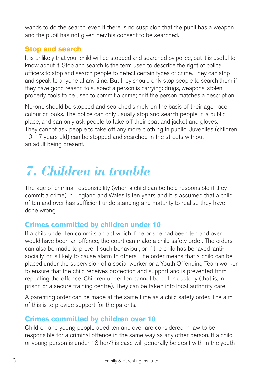wands to do the search, even if there is no suspicion that the pupil has a weapon and the pupil has not given her/his consent to be searched.

## **Stop and search**

It is unlikely that your child will be stopped and searched by police, but it is useful to know about it. Stop and search is the term used to describe the right of police officers to stop and search people to detect certain types of crime. They can stop and speak to anyone at any time. But they should only stop people to search them if they have good reason to suspect a person is carrying: drugs, weapons, stolen property, tools to be used to commit a crime; or if the person matches a description.

No-one should be stopped and searched simply on the basis of their age, race, colour or looks. The police can only usually stop and search people in a public place, and can only ask people to take off their coat and jacket and gloves. They cannot ask people to take off any more clothing in public. Juveniles (children 10-17 years old) can be stopped and searched in the streets without an adult being present.

# *7. Children in trouble*

The age of criminal responsibility (when a child can be held responsible if they commit a crime) in England and Wales is ten years and it is assumed that a child of ten and over has sufficient understanding and maturity to realise they have done wrong.

# **Crimes committed by children under 10**

If a child under ten commits an act which if he or she had been ten and over would have been an offence, the court can make a child safety order. The orders can also be made to prevent such behaviour, or if the child has behaved 'antisocially' or is likely to cause alarm to others. The order means that a child can be placed under the supervision of a social worker or a Youth Offending Team worker to ensure that the child receives protection and support and is prevented from repeating the offence. Children under ten cannot be put in custody (that is, in prison or a secure training centre). They can be taken into local authority care.

A parenting order can be made at the same time as a child safety order. The aim of this is to provide support for the parents.

# **Crimes committed by children over 10**

Children and young people aged ten and over are considered in law to be responsible for a criminal offence in the same way as any other person. If a child or young person is under 18 her/his case will generally be dealt with in the youth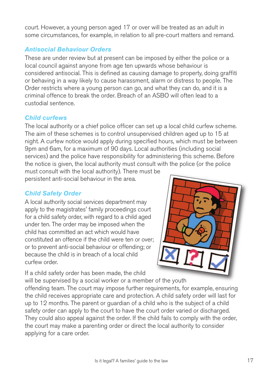court. However, a young person aged 17 or over will be treated as an adult in some circumstances, for example, in relation to all pre-court matters and remand.

## *Antisocial Behaviour Orders*

These are under review but at present can be imposed by either the police or a local council against anyone from age ten upwards whose behaviour is considered antisocial. This is defined as causing damage to property, doing graffiti or behaving in a way likely to cause harassment, alarm or distress to people. The Order restricts where a young person can go, and what they can do, and it is a criminal offence to break the order. Breach of an ASBO will often lead to a custodial sentence.

### *Child curfews*

The local authority or a chief police officer can set up a local child curfew scheme. The aim of these schemes is to control unsupervised children aged up to 15 at night. A curfew notice would apply during specified hours, which must be between 9pm and 6am, for a maximum of 90 days. Local authorities (including social services) and the police have responsibility for administering this scheme. Before the notice is given, the local authority must consult with the police (or the police

must consult with the local authority). There must be persistent anti-social behaviour in the area.

#### *Child Safety Order*

A local authority social services department may apply to the magistrates' family proceedings court for a child safety order, with regard to a child aged under ten. The order may be imposed when the child has committed an act which would have constituted an offence if the child were ten or over; or to prevent anti-social behaviour or offending; or because the child is in breach of a local child curfew order.

If a child safety order has been made, the child

will be supervised by a social worker or a member of the youth offending team. The court may impose further requirements, for example, ensuring the child receives appropriate care and protection. A child safety order will last for up to 12 months. The parent or guardian of a child who is the subject of a child safety order can apply to the court to have the court order varied or discharged. They could also appeal against the order. If the child fails to comply with the order, the court may make a parenting order or direct the local authority to consider applying for a care order.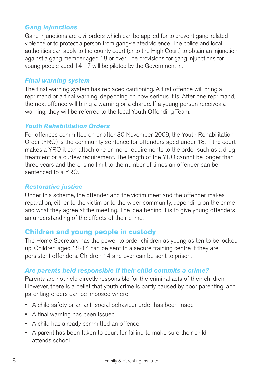#### *Gang Injunctions*

Gang injunctions are civil orders which can be applied for to prevent gang-related violence or to protect a person from gang-related violence. The police and local authorities can apply to the county court (or to the High Court) to obtain an injunction against a gang member aged 18 or over. The provisions for gang injunctions for young people aged 14-17 will be piloted by the Government in.

#### *Final warning system*

The final warning system has replaced cautioning. A first offence will bring a reprimand or a final warning, depending on how serious it is. After one reprimand, the next offence will bring a warning or a charge. If a young person receives a warning, they will be referred to the local Youth Offending Team.

#### *Youth Rehabilitation Orders*

For offences committed on or after 30 November 2009, the Youth Rehabilitation Order (YRO) is the community sentence for offenders aged under 18. If the court makes a YRO it can attach one or more requirements to the order such as a drug treatment or a curfew requirement. The length of the YRO cannot be longer than three years and there is no limit to the number of times an offender can be sentenced to a YRO.

#### *Restorative justice*

Under this scheme, the offender and the victim meet and the offender makes reparation, either to the victim or to the wider community, depending on the crime and what they agree at the meeting. The idea behind it is to give young offenders an understanding of the effects of their crime.

#### **Children and young people in custody**

The Home Secretary has the power to order children as young as ten to be locked up. Children aged 12-14 can be sent to a secure training centre if they are persistent offenders. Children 14 and over can be sent to prison.

#### *Are parents held responsible if their child commits a crime?*

Parents are not held directly responsible for the criminal acts of their children. However, there is a belief that youth crime is partly caused by poor parenting, and parenting orders can be imposed where:

- A child safety or an anti-social behaviour order has been made
- • A final warning has been issued
- • A child has already committed an offence
- A parent has been taken to court for failing to make sure their child attends school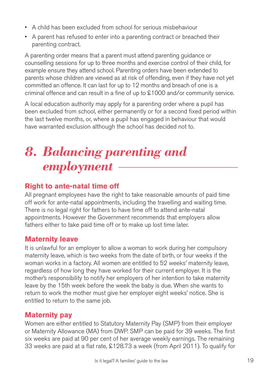- A child has been excluded from school for serious misbehaviour
- A parent has refused to enter into a parenting contract or breached their parenting contract.

A parenting order means that a parent must attend parenting guidance or counselling sessions for up to three months and exercise control of their child, for example ensure they attend school. Parenting orders have been extended to parents whose children are viewed as at risk of offending, even if they have not yet committed an offence. It can last for up to 12 months and breach of one is a criminal offence and can result in a fine of up to £1000 and/or community service.

A local education authority may apply for a parenting order where a pupil has been excluded from school, either permanently or for a second fixed period within the last twelve months, or, where a pupil has engaged in behaviour that would have warranted exclusion although the school has decided not to.

# *8. Balancing parenting and employment*

# **Right to ante-natal time off**

All pregnant employees have the right to take reasonable amounts of paid time off work for ante-natal appointments, including the travelling and waiting time. There is no legal right for fathers to have time off to attend ante-natal appointments. However the Government recommends that employers allow fathers either to take paid time off or to make up lost time later.

# **Maternity leave**

It is unlawful for an employer to allow a woman to work during her compulsory maternity leave, which is two weeks from the date of birth, or four weeks if the woman works in a factory. All women are entitled to 52 weeks' maternity leave, regardless of how long they have worked for their current employer. It is the mother's responsibility to notify her employers of her intention to take maternity leave by the 15th week before the week the baby is due. When she wants to return to work the mother must give her employer eight weeks' notice. She is entitled to return to the same job.

# **Maternity pay**

Women are either entitled to Statutory Maternity Pay (SMP) from their employer or Maternity Allowance (MA) from DWP. SMP can be paid for 39 weeks. The first six weeks are paid at 90 per cent of her average weekly earnings. The remaining 33 weeks are paid at a flat rate, £128.73 a week (from April 2011). To qualify for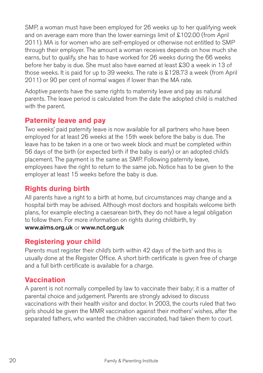SMP, a woman must have been employed for 26 weeks up to her qualifying week and on average earn more than the lower earnings limit of £102.00 (from April 2011). MA is for women who are self-employed or otherwise not entitled to SMP through their employer. The amount a woman receives depends on how much she earns, but to qualify, she has to have worked for 26 weeks during the 66 weeks before her baby is due. She must also have earned at least £30 a week in 13 of those weeks. It is paid for up to 39 weeks. The rate is £128.73 a week (from April 2011) or 90 per cent of normal wages if lower than the MA rate.

Adoptive parents have the same rights to maternity leave and pay as natural parents. The leave period is calculated from the date the adopted child is matched with the parent.

## **Paternity leave and pay**

Two weeks' paid paternity leave is now available for all partners who have been employed for at least 26 weeks at the 15th week before the baby is due. The leave has to be taken in a one or two week block and must be completed within 56 days of the birth (or expected birth if the baby is early) or an adopted child's placement. The payment is the same as SMP. Following paternity leave, employees have the right to return to the same job. Notice has to be given to the employer at least 15 weeks before the baby is due.

# **Rights during birth**

All parents have a right to a birth at home, but circumstances may change and a hospital birth may be advised. Although most doctors and hospitals welcome birth plans, for example electing a caesarean birth, they do not have a legal obligation to follow them. For more information on rights during childbirth, try **www.aims.org.uk** or **www.nct.org.uk** 

## **Registering your child**

Parents must register their child's birth within 42 days of the birth and this is usually done at the Register Office. A short birth certificate is given free of charge and a full birth certificate is available for a charge.

# **Vaccination**

A parent is not normally compelled by law to vaccinate their baby; it is a matter of parental choice and judgement. Parents are strongly advised to discuss vaccinations with their health visitor and doctor. In 2003, the courts ruled that two girls should be given the MMR vaccination against their mothers' wishes, after the separated fathers, who wanted the children vaccinated, had taken them to court.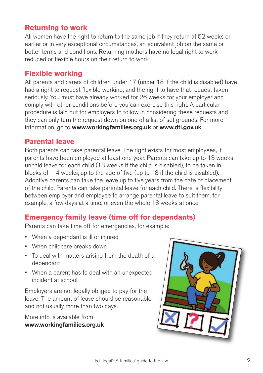## **Returning to work**

All women have the right to return to the same job if they return at 52 weeks or earlier or in very exceptional circumstances, an equivalent job on the same or better terms and conditions. Returning mothers have no legal right to work reduced or flexible hours on their return to work

### **Flexible working**

All parents and carers of children under 17 (under 18 if the child is disabled) have had a right to request flexible working, and the right to have that request taken seriously. You must have already worked for 26 weeks for your employer and comply with other conditions before you can exercise this right. A particular procedure is laid out for employers to follow in considering these requests and they can only turn the request down on one of a list of set grounds. For more information, go to **www.workingfamilies.org.uk** or **www.dti.gov.uk** 

#### **Parental leave**

Both parents can take parental leave. The right exists for most employees, if parents have been employed at least one year. Parents can take up to 13 weeks unpaid leave for each child (18 weeks if the child is disabled), to be taken in blocks of 1-4 weeks, up to the age of five (up to 18 if the child is disabled). Adoptive parents can take the leave up to five years from the date of placement of the child. Parents can take parental leave for each child. There is flexibility between employer and employee to arrange parental leave to suit them, for example, a few days at a time, or even the whole 13 weeks at once.

## **Emergency family leave (time off for dependants)**

Parents can take time off for emergencies, for example:

- When a dependant is ill or injured
- When childcare breaks down
- • To deal with matters arising from the death of a dependant
- • When a parent has to deal with an unexpected incident at school.

Employers are not legally obliged to pay for the leave. The amount of leave should be reasonable and not usually more than two days.

More info is available from **www.workingfamilies.org.uk** 

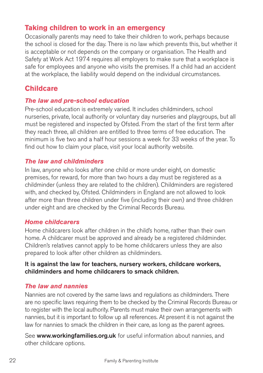## **Taking children to work in an emergency**

Occasionally parents may need to take their children to work, perhaps because the school is closed for the day. There is no law which prevents this, but whether it is acceptable or not depends on the company or organisation. The Health and Safety at Work Act 1974 requires all employers to make sure that a workplace is safe for employees and anyone who visits the premises. If a child had an accident at the workplace, the liability would depend on the individual circumstances.

## **Childcare**

#### *The law and pre-school education*

Pre-school education is extremely varied. It includes childminders, school nurseries, private, local authority or voluntary day nurseries and playgroups, but all must be registered and inspected by Ofsted. From the start of the first term after they reach three, all children are entitled to three terms of free education. The minimum is five two and a half hour sessions a week for 33 weeks of the year. To find out how to claim your place, visit your local authority website.

### *The law and childminders*

In law, anyone who looks after one child or more under eight, on domestic premises, for reward, for more than two hours a day must be registered as a childminder (unless they are related to the children). Childminders are registered with, and checked by, Ofsted. Childminders in England are not allowed to look after more than three children under five (including their own) and three children under eight and are checked by the Criminal Records Bureau.

#### *Home childcarers*

Home childcarers look after children in the child's home, rather than their own home. A childcarer must be approved and already be a registered childminder. Children's relatives cannot apply to be home childcarers unless they are also prepared to look after other children as childminders.

#### **It is against the law for teachers, nursery workers, childcare workers, childminders and home childcarers to smack children.**

#### *The law and nannies*

Nannies are not covered by the same laws and regulations as childminders. There are no specific laws requiring them to be checked by the Criminal Records Bureau or to register with the local authority. Parents must make their own arrangements with nannies, but it is important to follow up all references. At present it is not against the law for nannies to smack the children in their care, as long as the parent agrees.

See **www.workingfamilies.org.uk** for useful information about nannies, and other childcare options.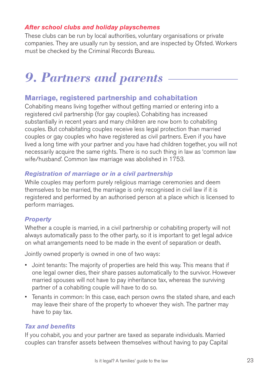#### *After school clubs and holiday playschemes*

These clubs can be run by local authorities, voluntary organisations or private companies. They are usually run by session, and are inspected by Ofsted. Workers must be checked by the Criminal Records Bureau.

# *9. Partners and parents*

## **Marriage, registered partnership and cohabitation**

Cohabiting means living together without getting married or entering into a registered civil partnership (for gay couples). Cohabiting has increased substantially in recent years and many children are now born to cohabiting couples. But cohabitating couples receive less legal protection than married couples or gay couples who have registered as civil partners. Even if you have lived a long time with your partner and you have had children together, you will not necessarily acquire the same rights. There is no such thing in law as 'common law wife/husband'. Common law marriage was abolished in 1753.

### *Registration of marriage or in a civil partnership*

While couples may perform purely religious marriage ceremonies and deem themselves to be married, the marriage is only recognised in civil law if it is registered and performed by an authorised person at a place which is licensed to perform marriages.

## *Property*

Whether a couple is married, in a civil partnership or cohabiting property will not always automatically pass to the other party, so it is important to get legal advice on what arrangements need to be made in the event of separation or death.

Jointly owned property is owned in one of two ways:

- • Joint tenants: The majority of properties are held this way. This means that if one legal owner dies, their share passes automatically to the survivor. However married spouses will not have to pay inheritance tax, whereas the surviving partner of a cohabiting couple will have to do so.
- Tenants in common: In this case, each person owns the stated share, and each may leave their share of the property to whoever they wish. The partner may have to pay tax.

#### *Tax and benefits*

If you cohabit, you and your partner are taxed as separate individuals. Married couples can transfer assets between themselves without having to pay Capital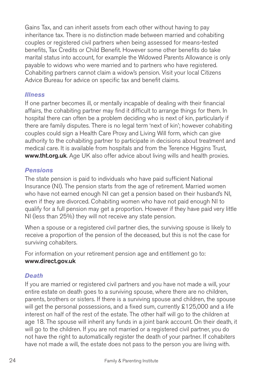Gains Tax, and can inherit assets from each other without having to pay inheritance tax. There is no distinction made between married and cohabiting couples or registered civil partners when being assessed for means-tested benefits, Tax Credits or Child Benefit. However some other benefits do take marital status into account, for example the Widowed Parents Allowance is only payable to widows who were married and to partners who have registered. Cohabiting partners cannot claim a widow's pension. Visit your local Citizens Advice Bureau for advice on specific tax and benefit claims.

#### *Illness*

If one partner becomes ill, or mentally incapable of dealing with their financial affairs, the cohabiting partner may find it difficult to arrange things for them. In hospital there can often be a problem deciding who is next of kin, particularly if there are family disputes. There is no legal term 'next of kin'; however cohabiting couples could sign a Health Care Proxy and Living Will form, which can give authority to the cohabiting partner to participate in decisions about treatment and medical care. It is available from hospitals and from the Terence Higgins Trust, **www.tht.org.uk**. Age UK also offer advice about living wills and health proxies.

#### *Pensions*

The state pension is paid to individuals who have paid sufficient National Insurance (NI). The pension starts from the age of retirement. Married women who have not earned enough NI can get a pension based on their husband's NI, even if they are divorced. Cohabiting women who have not paid enough NI to qualify for a full pension may get a proportion. However if they have paid very little NI (less than 25%) they will not receive any state pension.

When a spouse or a registered civil partner dies, the surviving spouse is likely to receive a proportion of the pension of the deceased, but this is not the case for surviving cohabiters.

For information on your retirement pension age and entitlement go to: **www.direct.gov.uk** 

#### *Death*

If you are married or registered civil partners and you have not made a will, your entire estate on death goes to a surviving spouse, where there are no children, parents, brothers or sisters. If there is a surviving spouse and children, the spouse will get the personal possessions, and a fixed sum, currently £125,000 and a life interest on half of the rest of the estate. The other half will go to the children at age 18. The spouse will inherit any funds in a joint bank account. On their death, it will go to the children. If you are not married or a registered civil partner, you do not have the right to automatically register the death of your partner. If cohabiters have not made a will, the estate does not pass to the person you are living with.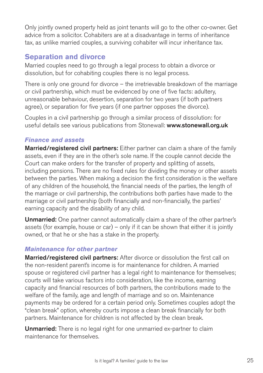Only jointly owned property held as joint tenants will go to the other co-owner. Get advice from a solicitor. Cohabiters are at a disadvantage in terms of inheritance tax, as unlike married couples, a surviving cohabiter will incur inheritance tax.

## **Separation and divorce**

Married couples need to go through a legal process to obtain a divorce or dissolution, but for cohabiting couples there is no legal process.

There is only one ground for divorce – the irretrievable breakdown of the marriage or civil partnership, which must be evidenced by one of five facts: adultery, unreasonable behaviour, desertion, separation for two years (if both partners agree), or separation for five years (if one partner opposes the divorce).

Couples in a civil partnership go through a similar process of dissolution: for useful details see various publications from Stonewall: **www.stonewall.org.uk** 

#### *Finance and assets*

**Married/registered civil partners:** Either partner can claim a share of the family assets, even if they are in the other's sole name. If the couple cannot decide the Court can make orders for the transfer of property and splitting of assets, including pensions. There are no fixed rules for dividing the money or other assets between the parties. When making a decision the first consideration is the welfare of any children of the household, the financial needs of the parties, the length of the marriage or civil partnership, the contributions both parties have made to the marriage or civil partnership (both financially and non-financially, the parties' earning capacity and the disability of any child.

**Unmarried:** One partner cannot automatically claim a share of the other partner's assets (for example, house or car) – only if it can be shown that either it is jointly owned, or that he or she has a stake in the property.

#### *Maintenance for other partner*

**Married/registered civil partners:** After divorce or dissolution the first call on the non-resident parent's income is for maintenance for children. A married spouse or registered civil partner has a legal right to maintenance for themselves; courts will take various factors into consideration, like the income, earning capacity and financial resources of both partners, the contributions made to the welfare of the family, age and length of marriage and so on. Maintenance payments may be ordered for a certain period only. Sometimes couples adopt the "clean break" option, whereby courts impose a clean break financially for both partners. Maintenance for children is not affected by the clean break.

**Unmarried:** There is no legal right for one unmarried ex-partner to claim maintenance for themselves.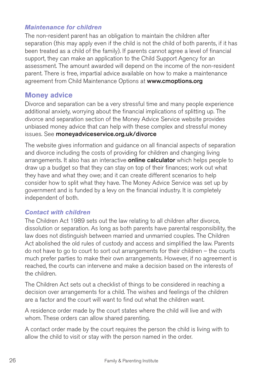#### *Maintenance for children*

The non-resident parent has an obligation to maintain the children after separation (this may apply even if the child is not the child of both parents, if it has been treated as a child of the family). If parents cannot agree a level of financial support, they can make an application to the Child Support Agency for an assessment. The amount awarded will depend on the income of the non-resident parent. There is free, impartial advice available on how to make a maintenance agreement from Child Maintenance Options at **www.cmoptions.org** 

## **Money advice**

Divorce and separation can be a very stressful time and many people experience additional anxiety, worrying about the financial implications of splitting up. The divorce and separation section of the Money Advice Service website provides unbiased money advice that can help with these complex and stressful money issues. See **moneyadviceservice.org.uk/divorce** 

The website gives information and guidance on all financial aspects of separation and divorce including the costs of providing for children and changing living arrangements. It also has an interactive **online calculator** which helps people to draw up a budget so that they can stay on top of their finances; work out what they have and what they owe; and it can create different scenarios to help consider how to split what they have. The Money Advice Service was set up by government and is funded by a levy on the financial industry. It is completely independent of both.

#### *Contact with children*

The Children Act 1989 sets out the law relating to all children after divorce, dissolution or separation. As long as both parents have parental responsibility, the law does not distinguish between married and unmarried couples. The Children Act abolished the old rules of custody and access and simplified the law. Parents do not have to go to court to sort out arrangements for their children – the courts much prefer parties to make their own arrangements. However, if no agreement is reached, the courts can intervene and make a decision based on the interests of the children.

The Children Act sets out a checklist of things to be considered in reaching a decision over arrangements for a child. The wishes and feelings of the children are a factor and the court will want to find out what the children want.

A residence order made by the court states where the child will live and with whom. These orders can allow shared parenting.

A contact order made by the court requires the person the child is living with to allow the child to visit or stay with the person named in the order.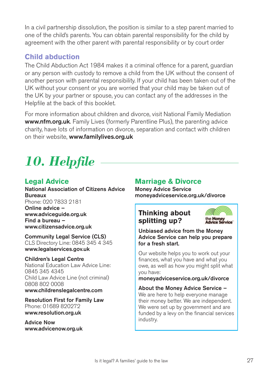In a civil partnership dissolution, the position is similar to a step parent married to one of the child's parents. You can obtain parental responsibility for the child by agreement with the other parent with parental responsibility or by court order

## **Child abduction**

The Child Abduction Act 1984 makes it a criminal offence for a parent, guardian or any person with custody to remove a child from the UK without the consent of another person with parental responsibility. If your child has been taken out of the UK without your consent or you are worried that your child may be taken out of the UK by your partner or spouse, you can contact any of the addresses in the Helpfile at the back of this booklet.

For more information about children and divorce, visit National Family Mediation **www.nfm.org.uk**. Family Lives (formerly Parentline Plus), the parenting advice charity, have lots of information on divorce, separation and contact with children on their website, **www.familylives.org.uk** 

# *10. Helpfile*

# **Legal Advice**

**National Association of Citizens Advice Bureaux**  Phone: 020 7833 2181 **Online advice – www.adviceguide.org.uk Find a bureau – www.citizensadvice.org.uk** 

## **Community Legal Service (CLS)**

CLS Directory Line: 0845 345 4 345 **www.legalservices.gov.uk** 

#### **Children's Legal Centre**

National Education Law Advice Line: 0845 345 4345 Child Law Advice Line (not criminal) 0808 802 0008 **www.childrenslegalcentre.com** 

**Resolution First for Family Law**  Phone: 01689 820272 **www.resolution.org.uk** 

**Advice Now www.advicenow.org.uk** 

## **Marriage & Divorce**

**Money Advice Service moneyadviceservice.org.uk/divorce** 

## **Thinking about splitting up?**



**Unbiased advice from the Money Advice Service can help you prepare for a fresh start.** 

Our website helps you to work out your finances, what you have and what you owe, as well as how you might split what you have:

**moneyadviceservice.org.uk/divorce** 

**About the Money Advice Service –**  We are here to help everyone manage their money better. We are independent. We were set up by government and are funded by a levy on the financial services industry.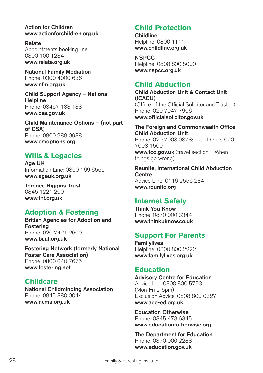**Action for Children www.actionforchildren.org.uk** 

**Relate**  Appointments booking line: 0300 100 1234 **www.relate.org.uk** 

**National Family Mediation**  Phone: 0300 4000 636 **www.nfm.org.uk** 

**Child Support Agency – National Helpline**  Phone: 08457 133 133 **www.csa.gov.uk** 

**Child Maintenance Options – (not part of CSA)**  Phone: 0800 988 0988 **www.cmoptions.org** 

## **Wills & Legacies**

**Age UK**  Information Line: 0800 169 6565 **www.ageuk.org.uk** 

**Terence Higgins Trust**  0845 1221 200 **www.tht.org.uk** 

## **Adoption & Fostering**

**British Agencies for Adoption and Fostering**  Phone: 020 7421 2600 **www.baaf.org.uk** 

**Fostering Network (formerly National Foster Care Association)**  Phone: 0800 040 7675 **www.fostering.net** 

## **Childcare**

**National Childminding Association**  Phone: 0845 880 0044 **www.ncma.org.uk** 

# **Child Protection**

**Childline**  Helpline: 0800 1111 **www.childline.org.uk** 

**NSPCC**  Helpline: 0808 800 5000 **www.nspcc.org.uk** 

### **Child Abduction**

**Child Abduction Unit & Contact Unit (ICACU)**  (Office of the Official Solicitor and Trustee) Phone: 020 7947 7906 **www.officialsolicitor.gov.uk** 

**The Foreign and Commonwealth Office Child Abduction Unit**  Phone: 020 7008 0878; out of hours 020 7008 1500 **www.fco.gov.uk** (travel section – When things go wrong)

**Reunite, International Child Abduction Centre**  Advice Line: 0116 2556 234 **www.reunite.org** 

## **Internet Safety**

**Think You Know**  Phone: 0870 000 3344 **www.thinkuknow.co.uk** 

# **Support For Parents**

**Familylives**  Helpline: 0800 800 2222 **www.familylives.org.uk** 

## **Education**

**Advisory Centre for Education**  Advice line: 0808 800 5793 (Mon-Fri 2-5pm) Exclusion Advice: 0808 800 0327 **www.ace-ed.org.uk** 

**Education Otherwise**  Phone: 0845 478 6345 **www.education-otherwise.org** 

**The Department for Education**  Phone: 0370 000 2288 **www.education.gov.uk**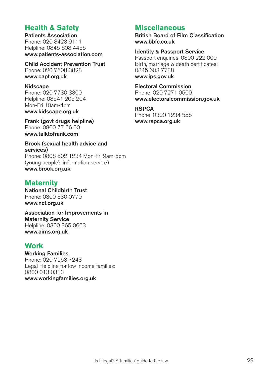## **Health & Safety**

**Patients Association**  Phone: 020 8423 9111 Helpline: 0845 608 4455 **www.patients-association.com** 

**Child Accident Prevention Trust**  Phone: 020 7608 3828 **www.capt.org.uk** 

#### **Kidscape**

Phone: 020 7730 3300 Helpline: 08541 205 204 Mon-Fri 10am-4pm **www.kidscape.org.uk** 

**Frank (govt drugs helpline)**  Phone: 0800 77 66 00 **www.talktofrank.com** 

#### **Brook (sexual health advice and services)**

Phone: 0808 802 1234 Mon-Fri 9am-5pm (young people's information service) **www.brook.org.uk** 

## **Maternity**

**National Childbirth Trust**  Phone: 0300 330 0770 **www.nct.org.uk** 

**Association for Improvements in Maternity Service**  Helpline: 0300 365 0663 **www.aims.org.uk** 

## **Work**

**Working Families**  Phone: 020 7253 7243 Legal Helpline for low income families: 0800 013 0313 **www.workingfamilies.org.uk** 

## **Miscellaneous**

**British Board of Film Classification www.bbfc.co.uk** 

**Identity & Passport Service**  Passport enquiries: 0300 222 000 Birth, marriage & death certificates: 0845 603 7788 **www.ips.gov.uk** 

**Electoral Commission**  Phone: 020 7271 0500 **www.electoralcommission.gov.uk** 

#### **RSPCA**

Phone: 0300 1234 555 **www.rspca.org.uk**